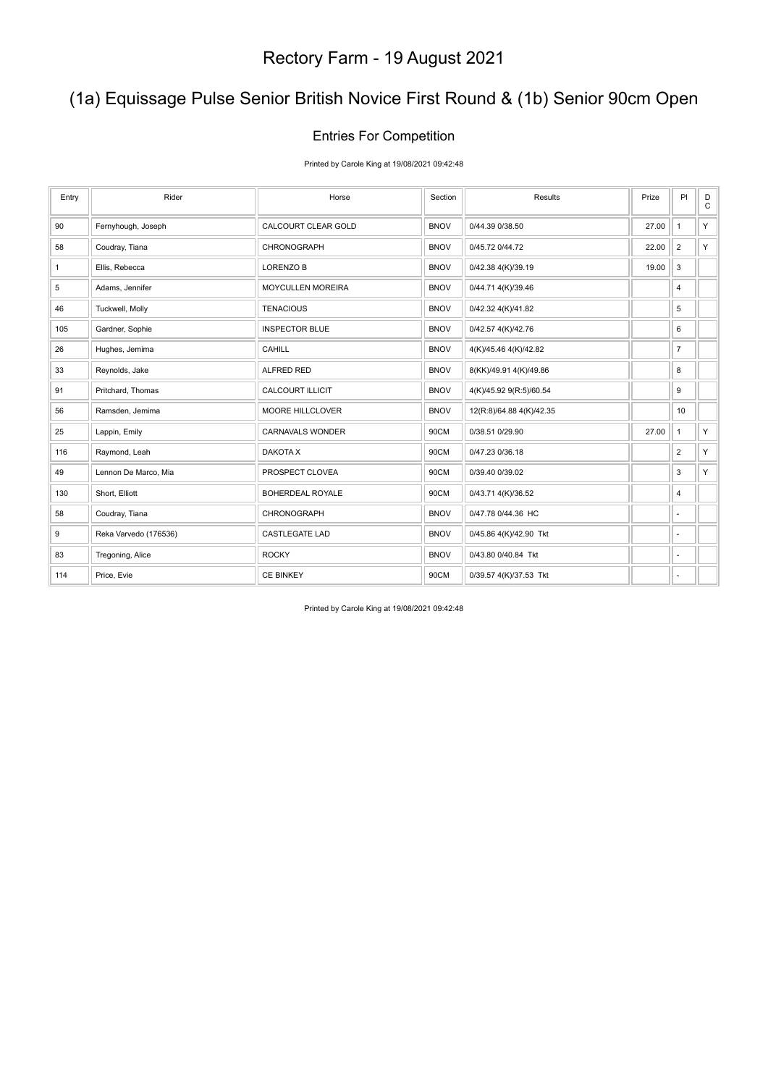### (1a) Equissage Pulse Senior British Novice First Round & (1b) Senior 90cm Open

#### Entries For Competition

Printed by Carole King at 19/08/2021 09:42:48

| Entry        | Rider                 | Horse                   | Section     | Results                  | Prize | PI             | $_{\rm C}^{\rm D}$ |
|--------------|-----------------------|-------------------------|-------------|--------------------------|-------|----------------|--------------------|
| 90           | Fernyhough, Joseph    | CALCOURT CLEAR GOLD     | <b>BNOV</b> | 0/44.39 0/38.50          | 27.00 | $\mathbf{1}$   | Y                  |
| 58           | Coudray, Tiana        | CHRONOGRAPH             | <b>BNOV</b> | 0/45.72 0/44.72          | 22.00 | $\overline{2}$ | Y.                 |
| $\mathbf{1}$ | Ellis, Rebecca        | LORENZO B               | <b>BNOV</b> | 0/42.38 4(K)/39.19       | 19.00 | 3              |                    |
| 5            | Adams, Jennifer       | MOYCULLEN MOREIRA       | <b>BNOV</b> | 0/44.71 4(K)/39.46       |       | 4              |                    |
| 46           | Tuckwell, Molly       | <b>TENACIOUS</b>        | <b>BNOV</b> | 0/42.32 4(K)/41.82       |       | 5              |                    |
| 105          | Gardner, Sophie       | <b>INSPECTOR BLUE</b>   | <b>BNOV</b> | 0/42.57 4(K)/42.76       |       | 6              |                    |
| 26           | Hughes, Jemima        | CAHILL                  | <b>BNOV</b> | 4(K)/45.46 4(K)/42.82    |       | $\overline{7}$ |                    |
| 33           | Reynolds, Jake        | ALFRED RED              | <b>BNOV</b> | 8(KK)/49.91 4(K)/49.86   |       | 8              |                    |
| 91           | Pritchard, Thomas     | <b>CALCOURT ILLICIT</b> | <b>BNOV</b> | 4(K)/45.92 9(R:5)/60.54  |       | 9              |                    |
| 56           | Ramsden, Jemima       | MOORE HILLCLOVER        | <b>BNOV</b> | 12(R:8)/64.88 4(K)/42.35 |       | 10             |                    |
| 25           | Lappin, Emily         | CARNAVALS WONDER        | 90CM        | 0/38.51 0/29.90          | 27.00 | $\mathbf{1}$   | Y                  |
| 116          | Raymond, Leah         | DAKOTA X                | 90CM        | 0/47.23 0/36.18          |       | $\overline{2}$ | Y.                 |
| 49           | Lennon De Marco, Mia  | PROSPECT CLOVEA         | 90CM        | 0/39.40 0/39.02          |       | 3              | Y.                 |
| 130          | Short, Elliott        | BOHERDEAL ROYALE        | 90CM        | 0/43.71 4(K)/36.52       |       | 4              |                    |
| 58           | Coudray, Tiana        | CHRONOGRAPH             | <b>BNOV</b> | 0/47.78 0/44.36 HC       |       | ÷.             |                    |
| 9            | Reka Varvedo (176536) | <b>CASTLEGATE LAD</b>   | <b>BNOV</b> | 0/45.86 4(K)/42.90 Tkt   |       | ÷,             |                    |
| 83           | Tregoning, Alice      | <b>ROCKY</b>            | <b>BNOV</b> | 0/43.80 0/40.84 Tkt      |       | ÷.             |                    |
| 114          | Price, Evie           | <b>CE BINKEY</b>        | 90CM        | 0/39.57 4(K)/37.53 Tkt   |       | ٠              |                    |

Printed by Carole King at 19/08/2021 09:42:48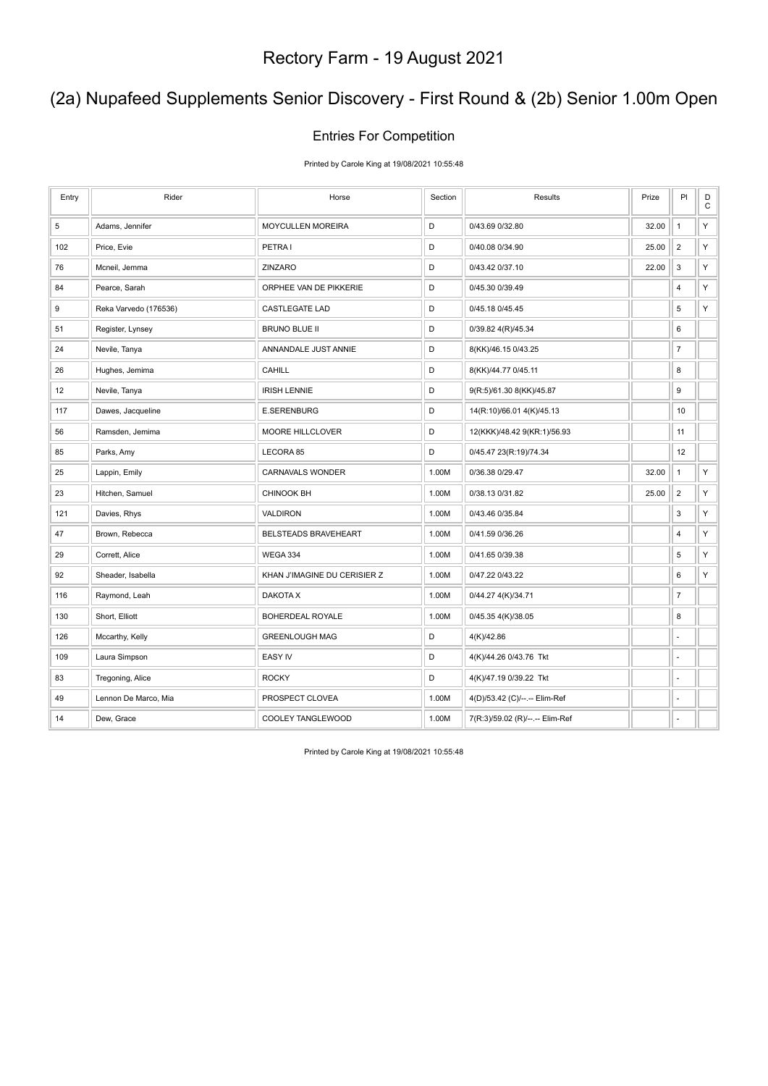### (2a) Nupafeed Supplements Senior Discovery - First Round & (2b) Senior 1.00m Open

#### Entries For Competition

Printed by Carole King at 19/08/2021 10:55:48

| Entry | Rider                 | Horse                        | Section | Results                         | Prize | PI                        | D<br>$\mathsf C$ |
|-------|-----------------------|------------------------------|---------|---------------------------------|-------|---------------------------|------------------|
| 5     | Adams, Jennifer       | MOYCULLEN MOREIRA            | D       | 0/43.69 0/32.80                 | 32.00 | $\mathbf{1}$              | Υ                |
| 102   | Price, Evie           | PETRA I                      | D       | 0/40.08 0/34.90                 | 25.00 | $\overline{2}$            | Υ                |
| 76    | Mcneil, Jemma         | ZINZARO                      | D       | 0/43.42 0/37.10                 | 22.00 | $\mathbf 3$               | Υ                |
| 84    | Pearce, Sarah         | ORPHEE VAN DE PIKKERIE       | D       | 0/45.30 0/39.49                 |       | $\sqrt{4}$                | Υ                |
| 9     | Reka Varvedo (176536) | <b>CASTLEGATE LAD</b>        | D       | 0/45.18 0/45.45                 |       | $\,$ 5 $\,$               | Υ                |
| 51    | Register, Lynsey      | <b>BRUNO BLUE II</b>         | D       | 0/39.82 4(R)/45.34              |       | 6                         |                  |
| 24    | Nevile, Tanya         | ANNANDALE JUST ANNIE         | D       | 8(KK)/46.15 0/43.25             |       | $\overline{7}$            |                  |
| 26    | Hughes, Jemima        | <b>CAHILL</b>                | D       | 8(KK)/44.77 0/45.11             |       | 8                         |                  |
| 12    | Nevile, Tanya         | <b>IRISH LENNIE</b>          | D       | 9(R:5)/61.30 8(KK)/45.87        |       | $\boldsymbol{9}$          |                  |
| 117   | Dawes, Jacqueline     | <b>E.SERENBURG</b>           | D       | 14(R:10)/66.01 4(K)/45.13       |       | 10                        |                  |
| 56    | Ramsden, Jemima       | MOORE HILLCLOVER             | D       | 12(KKK)/48.42 9(KR:1)/56.93     |       | 11                        |                  |
| 85    | Parks, Amy            | LECORA 85                    | D       | 0/45.47 23(R:19)/74.34          |       | 12                        |                  |
| 25    | Lappin, Emily         | CARNAVALS WONDER             | 1.00M   | 0/36.38 0/29.47                 | 32.00 | $\mathbf{1}$              | Υ                |
| 23    | Hitchen, Samuel       | CHINOOK BH                   | 1.00M   | 0/38.13 0/31.82                 | 25.00 | $\sqrt{2}$                | Y                |
| 121   | Davies, Rhys          | <b>VALDIRON</b>              | 1.00M   | 0/43.46 0/35.84                 |       | $\ensuremath{\mathsf{3}}$ | Y                |
| 47    | Brown, Rebecca        | BELSTEADS BRAVEHEART         | 1.00M   | 0/41.59 0/36.26                 |       | 4                         | Υ                |
| 29    | Corrett, Alice        | WEGA 334                     | 1.00M   | 0/41.65 0/39.38                 |       | $\,$ 5 $\,$               | Υ                |
| 92    | Sheader, Isabella     | KHAN J'IMAGINE DU CERISIER Z | 1.00M   | 0/47.22 0/43.22                 |       | 6                         | Υ                |
| 116   | Raymond, Leah         | DAKOTA X                     | 1.00M   | 0/44.27 4(K)/34.71              |       | $\overline{7}$            |                  |
| 130   | Short, Elliott        | BOHERDEAL ROYALE             | 1.00M   | 0/45.35 4(K)/38.05              |       | $\bf 8$                   |                  |
| 126   | Mccarthy, Kelly       | <b>GREENLOUGH MAG</b>        | D       | 4(K)/42.86                      |       | ä,                        |                  |
| 109   | Laura Simpson         | <b>EASY IV</b>               | D       | 4(K)/44.26 0/43.76 Tkt          |       | ä,                        |                  |
| 83    | Tregoning, Alice      | <b>ROCKY</b>                 | D       | 4(K)/47.19 0/39.22 Tkt          |       | ä,                        |                  |
| 49    | Lennon De Marco, Mia  | PROSPECT CLOVEA              | 1.00M   | 4(D)/53.42 (C)/--.-- Elim-Ref   |       |                           |                  |
| 14    | Dew, Grace            | COOLEY TANGLEWOOD            | 1.00M   | 7(R:3)/59.02 (R)/--.-- Elim-Ref |       |                           |                  |

Printed by Carole King at 19/08/2021 10:55:48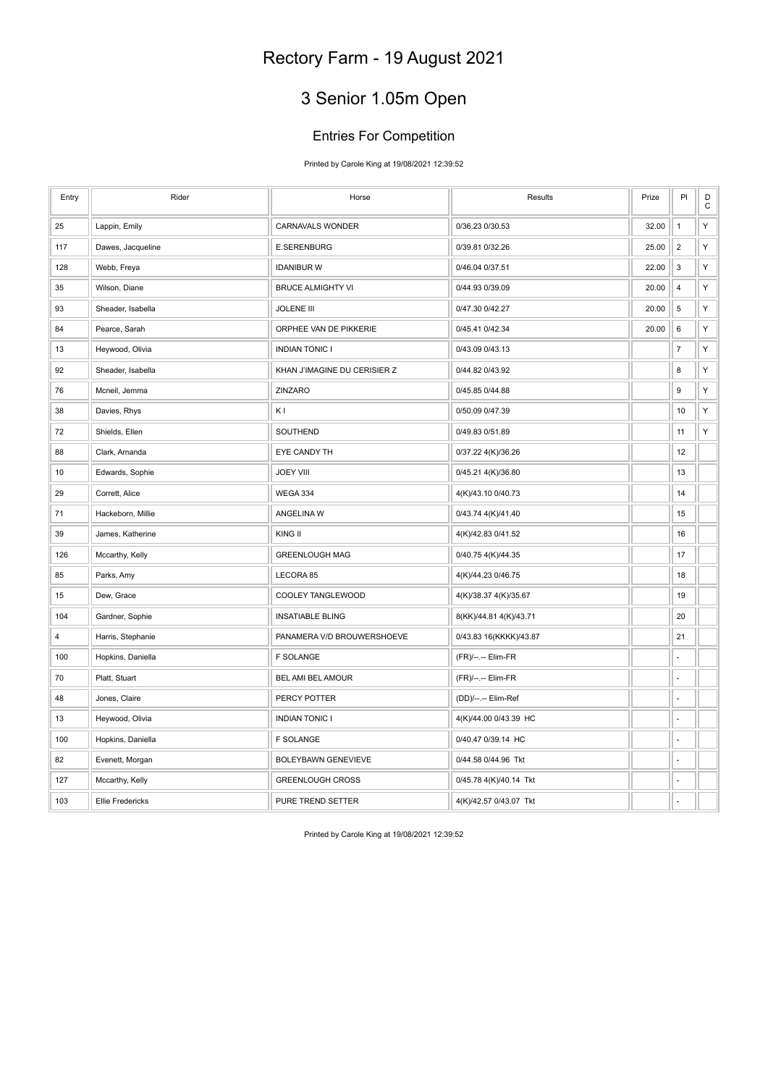## 3 Senior 1.05m Open

### Entries For Competition

Printed by Carole King at 19/08/2021 12:39:52

| Entry | Rider                   | Horse                        | Results                | Prize | PI               | D<br>С |
|-------|-------------------------|------------------------------|------------------------|-------|------------------|--------|
| 25    | Lappin, Emily           | <b>CARNAVALS WONDER</b>      | 0/36.23 0/30.53        | 32.00 | $\mathbf{1}$     | Υ      |
| 117   | Dawes, Jacqueline       | <b>E.SERENBURG</b>           | 0/39.81 0/32.26        | 25.00 | $\sqrt{2}$       | Y      |
| 128   | Webb, Freya             | <b>IDANIBUR W</b>            | 0/46.04 0/37.51        | 22.00 | 3                | Y      |
| 35    | Wilson, Diane           | <b>BRUCE ALMIGHTY VI</b>     | 0/44.93 0/39.09        | 20.00 | $\sqrt{4}$       | Υ      |
| 93    | Sheader, Isabella       | <b>JOLENE III</b>            | 0/47.30 0/42.27        | 20.00 | 5                | Υ      |
| 84    | Pearce, Sarah           | ORPHEE VAN DE PIKKERIE       | 0/45.41 0/42.34        | 20.00 | 6                | Y      |
| 13    | Heywood, Olivia         | <b>INDIAN TONIC I</b>        | 0/43.09 0/43.13        |       | $\boldsymbol{7}$ | Y      |
| 92    | Sheader, Isabella       | KHAN J'IMAGINE DU CERISIER Z | 0/44.82 0/43.92        |       | 8                | Y      |
| 76    | Mcneil, Jemma           | ZINZARO                      | 0/45.85 0/44.88        |       | $\boldsymbol{9}$ | Y      |
| 38    | Davies, Rhys            | K <sub>I</sub>               | 0/50.09 0/47.39        |       | 10               | Y      |
| 72    | Shields, Ellen          | SOUTHEND                     | 0/49.83 0/51.89        |       | 11               | Y      |
| 88    | Clark, Amanda           | EYE CANDY TH                 | 0/37.22 4(K)/36.26     |       | 12               |        |
| 10    | Edwards, Sophie         | <b>JOEY VIII</b>             | 0/45.21 4(K)/36.80     |       | 13               |        |
| 29    | Corrett, Alice          | WEGA 334                     | 4(K)/43.10 0/40.73     |       | 14               |        |
| 71    | Hackeborn, Millie       | ANGELINA W                   | 0/43.74 4(K)/41.40     |       | 15               |        |
| 39    | James, Katherine        | KING II                      | 4(K)/42.83 0/41.52     |       | 16               |        |
| 126   | Mccarthy, Kelly         | <b>GREENLOUGH MAG</b>        | 0/40.75 4(K)/44.35     |       | 17               |        |
| 85    | Parks, Amy              | LECORA 85                    | 4(K)/44.23 0/46.75     |       | 18               |        |
| 15    | Dew, Grace              | COOLEY TANGLEWOOD            | 4(K)/38.37 4(K)/35.67  |       | 19               |        |
| 104   | Gardner, Sophie         | <b>INSATIABLE BLING</b>      | 8(KK)/44.81 4(K)/43.71 |       | 20               |        |
| 4     | Harris, Stephanie       | PANAMERA V/D BROUWERSHOEVE   | 0/43.83 16(KKKK)/43.87 |       | 21               |        |
| 100   | Hopkins, Daniella       | <b>F SOLANGE</b>             | (FR)/--.-- Elim-FR     |       |                  |        |
| 70    | Platt, Stuart           | BEL AMI BEL AMOUR            | (FR)/--.-- Elim-FR     |       |                  |        |
| 48    | Jones, Claire           | PERCY POTTER                 | (DD)/--.-- Elim-Ref    |       | ÷,               |        |
| 13    | Heywood, Olivia         | <b>INDIAN TONIC I</b>        | 4(K)/44.00 0/43.39 HC  |       |                  |        |
| 100   | Hopkins, Daniella       | <b>F SOLANGE</b>             | 0/40.47 0/39.14 HC     |       | ÷,               |        |
| 82    | Evenett, Morgan         | <b>BOLEYBAWN GENEVIEVE</b>   | 0/44.58 0/44.96 Tkt    |       |                  |        |
| 127   | Mccarthy, Kelly         | <b>GREENLOUGH CROSS</b>      | 0/45.78 4(K)/40.14 Tkt |       |                  |        |
| 103   | <b>Ellie Fredericks</b> | PURE TREND SETTER            | 4(K)/42.57 0/43.07 Tkt |       |                  |        |

Printed by Carole King at 19/08/2021 12:39:52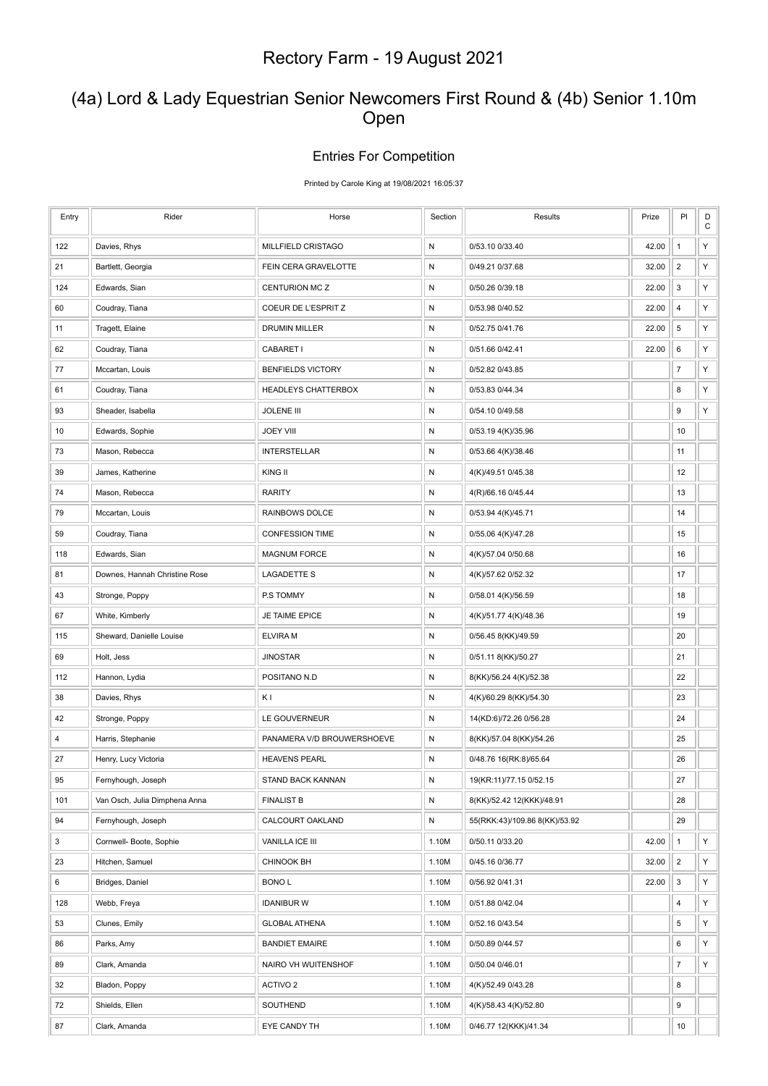### (4a) Lord & Lady Equestrian Senior Newcomers First Round & (4b) Senior 1.10m Open

#### Entries For Competition

Printed by Carole King at 19/08/2021 16:05:37

| Entry | Rider                         | Horse                      | Section      | Results                       | Prize | PI                        | $\mathsf D$<br>C |
|-------|-------------------------------|----------------------------|--------------|-------------------------------|-------|---------------------------|------------------|
| 122   | Davies, Rhys                  | MILLFIELD CRISTAGO         | N            | 0/53.10 0/33.40               | 42.00 | $\mathbf{1}$              | Υ                |
| 21    | Bartlett, Georgia             | FEIN CERA GRAVELOTTE       | N            | 0/49.21 0/37.68               | 32.00 | $\sqrt{2}$                | Y                |
| 124   | Edwards, Sian                 | CENTURION MC Z             | N            | 0/50.26 0/39.18               | 22.00 | 3                         | Υ                |
| 60    | Coudray, Tiana                | COEUR DE L'ESPRIT Z        | N            | 0/53.98 0/40.52               | 22.00 | $\overline{4}$            | Y                |
| 11    | Tragett, Elaine               | DRUMIN MILLER              | $\mathsf{N}$ | 0/52.75 0/41.76               | 22.00 | $\,$ 5 $\,$               | Υ                |
| 62    | Coudray, Tiana                | CABARET I                  | N            | 0/51.66 0/42.41               | 22.00 | 6                         | Υ                |
| 77    | Mccartan, Louis               | <b>BENFIELDS VICTORY</b>   | N            | 0/52.82 0/43.85               |       | $\overline{7}$            | Υ                |
| 61    | Coudray, Tiana                | <b>HEADLEYS CHATTERBOX</b> | ${\sf N}$    | 0/53.83 0/44.34               |       | 8                         | Υ                |
| 93    | Sheader, Isabella             | <b>JOLENE III</b>          | N            | 0/54.10 0/49.58               |       | 9                         | Υ                |
| 10    | Edwards, Sophie               | <b>JOEY VIII</b>           | N            | 0/53.19 4(K)/35.96            |       | 10                        |                  |
| 73    | Mason, Rebecca                | <b>INTERSTELLAR</b>        | ${\sf N}$    | 0/53.66 4(K)/38.46            |       | 11                        |                  |
| 39    | James, Katherine              | KING II                    | N            | 4(K)/49.51 0/45.38            |       | 12                        |                  |
| 74    | Mason, Rebecca                | <b>RARITY</b>              | N            | 4(R)/66.16 0/45.44            |       | 13                        |                  |
| 79    | Mccartan, Louis               | RAINBOWS DOLCE             | ${\sf N}$    | 0/53.94 4(K)/45.71            |       | 14                        |                  |
| 59    | Coudray, Tiana                | <b>CONFESSION TIME</b>     | N            | 0/55.06 4(K)/47.28            |       | 15                        |                  |
| 118   | Edwards, Sian                 | <b>MAGNUM FORCE</b>        | N            | 4(K)/57.04 0/50.68            |       | 16                        |                  |
| 81    | Downes, Hannah Christine Rose | <b>LAGADETTE S</b>         | ${\sf N}$    | 4(K)/57.62 0/52.32            |       | 17                        |                  |
| 43    | Stronge, Poppy                | P.S TOMMY                  | N            | 0/58.01 4(K)/56.59            |       | 18                        |                  |
| 67    | White, Kimberly               | JE TAIME EPICE             | N            | 4(K)/51.77 4(K)/48.36         |       | 19                        |                  |
| 115   | Sheward, Danielle Louise      | <b>ELVIRA M</b>            | ${\sf N}$    | 0/56.45 8(KK)/49.59           |       | 20                        |                  |
| 69    | Holt, Jess                    | <b>JINOSTAR</b>            | N            | 0/51.11 8(KK)/50.27           |       | 21                        |                  |
| 112   | Hannon, Lydia                 | POSITANO N.D               | N            | 8(KK)/56.24 4(K)/52.38        |       | 22                        |                  |
| 38    | Davies, Rhys                  | ΚI                         | N            | 4(K)/60.29 8(KK)/54.30        |       | 23                        |                  |
| 42    | Stronge, Poppy                | LE GOUVERNEUR              | N            | 14(KD:6)/72.26 0/56.28        |       | 24                        |                  |
| 4     | Harris, Stephanie             | PANAMERA V/D BROUWERSHOEVE | N            | 8(KK)/57.04 8(KK)/54.26       |       | 25                        |                  |
| 27    | Henry, Lucy Victoria          | <b>HEAVENS PEARL</b>       | N            | 0/48.76 16(RK:8)/65.64        |       | 26                        |                  |
| 95    | Fernyhough, Joseph            | <b>STAND BACK KANNAN</b>   | N            | 19(KR:11)/77.15 0/52.15       |       | 27                        |                  |
| 101   | Van Osch, Julia Dimphena Anna | <b>FINALIST B</b>          | N            | 8(KK)/52.42 12(KKK)/48.91     |       | 28                        |                  |
| 94    | Fernyhough, Joseph            | CALCOURT OAKLAND           | ${\sf N}$    | 55(RKK:43)/109.86 8(KK)/53.92 |       | 29                        |                  |
| 3     | Cornwell- Boote, Sophie       | VANILLA ICE III            | 1.10M        | 0/50.11 0/33.20               | 42.00 | $\mathbf{1}$              | Y                |
| 23    | Hitchen, Samuel               | CHINOOK BH                 | 1.10M        | 0/45.16 0/36.77               | 32.00 | $\overline{c}$            | Y                |
| 6     | Bridges, Daniel               | <b>BONOL</b>               | 1.10M        | 0/56.92 0/41.31               | 22.00 | $\ensuremath{\mathsf{3}}$ | Y                |
| 128   | Webb, Freya                   | <b>IDANIBUR W</b>          | 1.10M        | 0/51.88 0/42.04               |       | 4                         | Υ                |
| 53    | Clunes, Emily                 | <b>GLOBAL ATHENA</b>       | 1.10M        | 0/52.16 0/43.54               |       | 5                         | Y                |
| 86    | Parks, Amy                    | <b>BANDIET EMAIRE</b>      | 1.10M        | 0/50.89 0/44.57               |       | 6                         | Y                |
| 89    | Clark, Amanda                 | NAIRO VH WUITENSHOF        | 1.10M        | 0/50.04 0/46.01               |       | $\boldsymbol{7}$          | Υ                |
| 32    | Bladon, Poppy                 | ACTIVO 2                   | 1.10M        | 4(K)/52.49 0/43.28            |       | 8                         |                  |
| 72    | Shields, Ellen                | SOUTHEND                   | 1.10M        | 4(K)/58.43 4(K)/52.80         |       | 9                         |                  |
| 87    | Clark, Amanda                 | EYE CANDY TH               | 1.10M        | 0/46.77 12(KKK)/41.34         |       | 10                        |                  |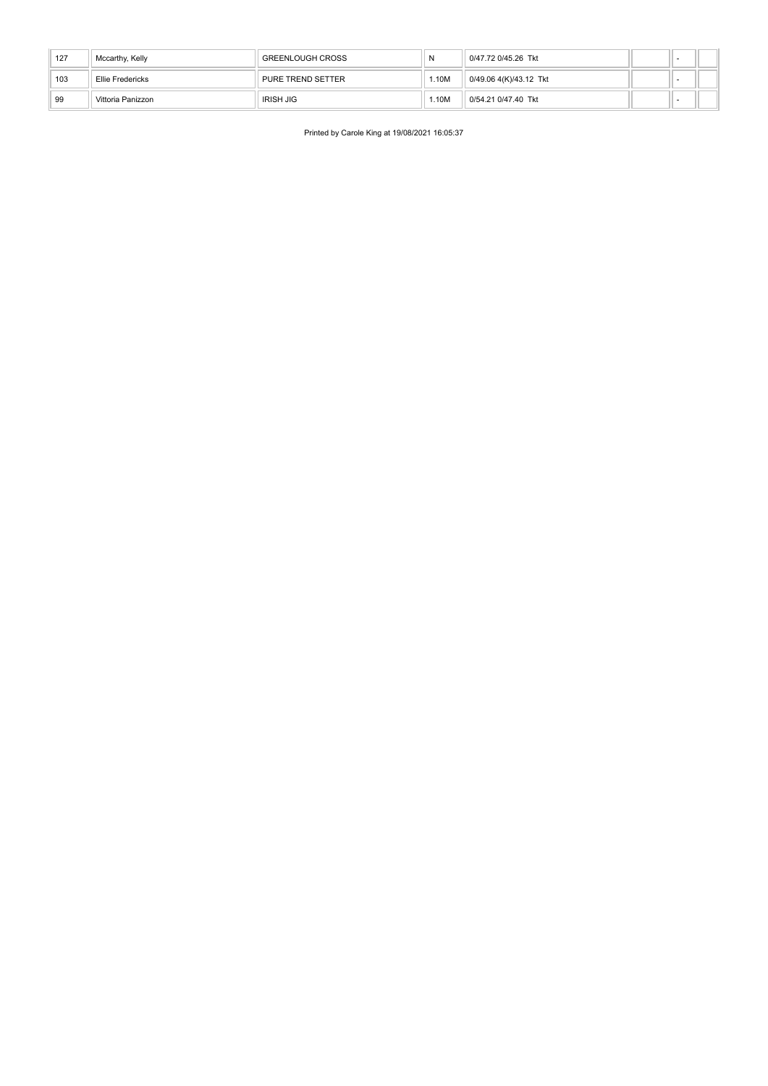| 127 | Mccarthy, Kelly   | <b>GREENLOUGH CROSS</b> |      | 0/47.72 0/45.26 Tkt    |  |  |
|-----|-------------------|-------------------------|------|------------------------|--|--|
| 103 | Ellie Fredericks  | PURE TREND SETTER       | .10M | 0/49.06 4(K)/43.12 Tkt |  |  |
| 99  | Vittoria Panizzon | IRISH JIG               | .10M | 0/54.21 0/47.40 Tkt    |  |  |

Printed by Carole King at 19/08/2021 16:05:37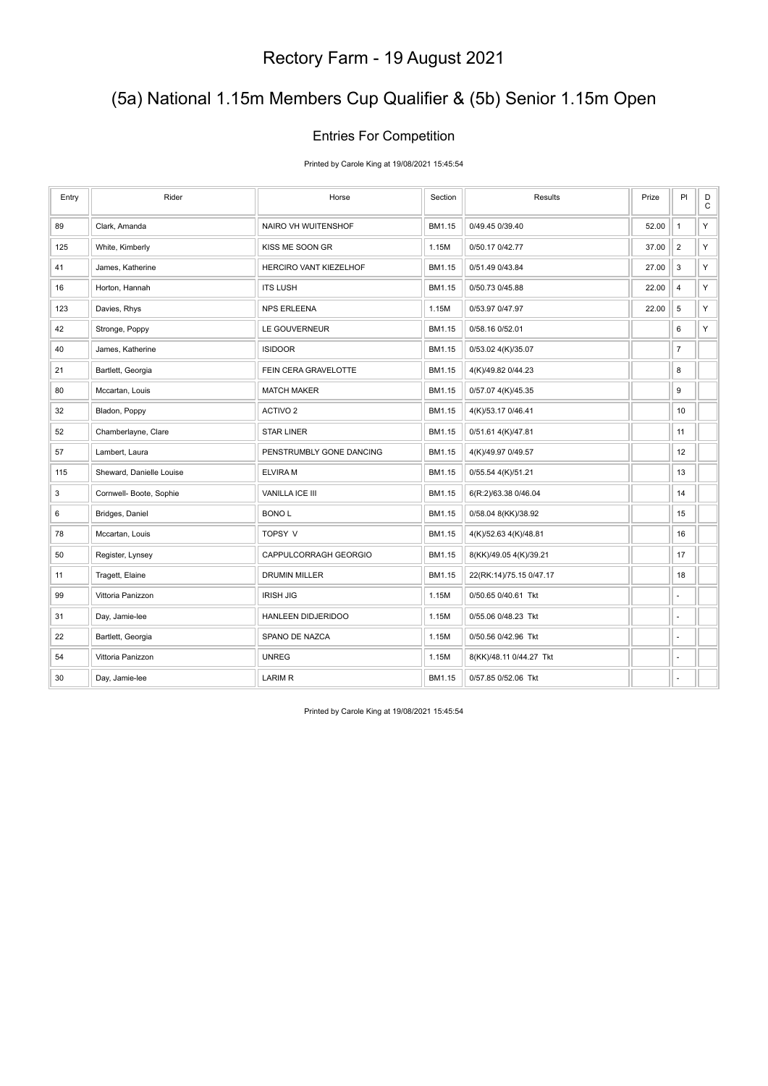### (5a) National 1.15m Members Cup Qualifier & (5b) Senior 1.15m Open

#### Entries For Competition

Printed by Carole King at 19/08/2021 15:45:54

| Entry | Rider                    | Horse                    | Section | <b>Results</b>          | Prize | PI                       | $\mathsf D$<br>$\mathbf C$ |
|-------|--------------------------|--------------------------|---------|-------------------------|-------|--------------------------|----------------------------|
| 89    | Clark, Amanda            | NAIRO VH WUITENSHOF      | BM1.15  | 0/49.45 0/39.40         | 52.00 | $\mathbf{1}$             | Y                          |
| 125   | White, Kimberly          | KISS ME SOON GR          | 1.15M   | 0/50.17 0/42.77         | 37.00 | $\overline{2}$           | Y                          |
| 41    | James, Katherine         | HERCIRO VANT KIEZELHOF   | BM1.15  | 0/51.49 0/43.84         | 27.00 | 3                        | Y                          |
| 16    | Horton, Hannah           | <b>ITS LUSH</b>          | BM1.15  | 0/50.73 0/45.88         | 22.00 | $\overline{4}$           | Y                          |
| 123   | Davies, Rhys             | <b>NPS ERLEENA</b>       | 1.15M   | 0/53.97 0/47.97         | 22.00 | 5                        | Y                          |
| 42    | Stronge, Poppy           | LE GOUVERNEUR            | BM1.15  | 0/58.16 0/52.01         |       | 6                        | Y                          |
| 40    | James, Katherine         | <b>ISIDOOR</b>           | BM1.15  | 0/53.02 4(K)/35.07      |       | $\overline{\mathcal{I}}$ |                            |
| 21    | Bartlett, Georgia        | FEIN CERA GRAVELOTTE     | BM1.15  | 4(K)/49.82 0/44.23      |       | 8                        |                            |
| 80    | Mccartan, Louis          | <b>MATCH MAKER</b>       | BM1.15  | 0/57.07 4(K)/45.35      |       | 9                        |                            |
| 32    | Bladon, Poppy            | ACTIVO <sub>2</sub>      | BM1.15  | 4(K)/53.17 0/46.41      |       | 10                       |                            |
| 52    | Chamberlayne, Clare      | <b>STAR LINER</b>        | BM1.15  | 0/51.61 4(K)/47.81      |       | 11                       |                            |
| 57    | Lambert, Laura           | PENSTRUMBLY GONE DANCING | BM1.15  | 4(K)/49.97 0/49.57      |       | 12                       |                            |
| 115   | Sheward, Danielle Louise | <b>ELVIRAM</b>           | BM1.15  | 0/55.54 4(K)/51.21      |       | 13                       |                            |
| 3     | Cornwell- Boote, Sophie  | VANILLA ICE III          | BM1.15  | 6(R:2)/63.38 0/46.04    |       | 14                       |                            |
| 6     | Bridges, Daniel          | <b>BONOL</b>             | BM1.15  | 0/58.04 8(KK)/38.92     |       | 15                       |                            |
| 78    | Mccartan, Louis          | TOPSY V                  | BM1.15  | 4(K)/52.63 4(K)/48.81   |       | 16                       |                            |
| 50    | Register, Lynsey         | CAPPULCORRAGH GEORGIO    | BM1.15  | 8(KK)/49.05 4(K)/39.21  |       | 17                       |                            |
| 11    | Tragett, Elaine          | DRUMIN MILLER            | BM1.15  | 22(RK:14)/75.15 0/47.17 |       | 18                       |                            |
| 99    | Vittoria Panizzon        | <b>IRISH JIG</b>         | 1.15M   | 0/50.65 0/40.61 Tkt     |       | ä,                       |                            |
| 31    | Day, Jamie-lee           | HANLEEN DIDJERIDOO       | 1.15M   | 0/55.06 0/48.23 Tkt     |       | ÷,                       |                            |
| 22    | Bartlett, Georgia        | SPANO DE NAZCA           | 1.15M   | 0/50.56 0/42.96 Tkt     |       | ä,                       |                            |
| 54    | Vittoria Panizzon        | <b>UNREG</b>             | 1.15M   | 8(KK)/48.11 0/44.27 Tkt |       | ä,                       |                            |
| 30    | Day, Jamie-lee           | <b>LARIM R</b>           | BM1.15  | 0/57.85 0/52.06 Tkt     |       | ٠                        |                            |

Printed by Carole King at 19/08/2021 15:45:54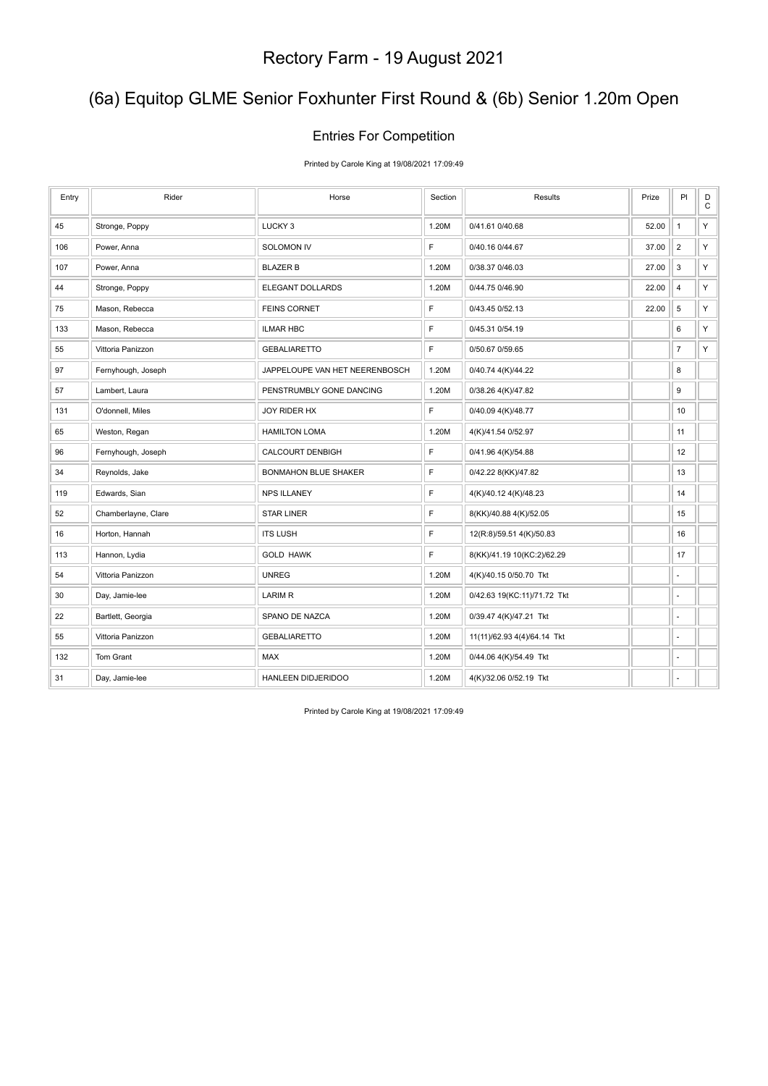### (6a) Equitop GLME Senior Foxhunter First Round & (6b) Senior 1.20m Open

#### Entries For Competition

Printed by Carole King at 19/08/2021 17:09:49

| Entry | Rider               | Horse                          | Section      | Results                     | Prize | PI                       | D<br>$\mathsf{C}$ |
|-------|---------------------|--------------------------------|--------------|-----------------------------|-------|--------------------------|-------------------|
| 45    | Stronge, Poppy      | LUCKY <sub>3</sub>             | 1.20M        | 0/41.61 0/40.68             | 52.00 | $\mathbf{1}$             | Y                 |
| 106   | Power, Anna         | SOLOMON IV                     | F            | 0/40.16 0/44.67             | 37.00 | $\overline{2}$           | Υ                 |
| 107   | Power, Anna         | <b>BLAZER B</b>                | 1.20M        | 0/38.37 0/46.03             | 27.00 | 3                        | Υ                 |
| 44    | Stronge, Poppy      | ELEGANT DOLLARDS               | 1.20M        | 0/44.75 0/46.90             | 22.00 | $\overline{4}$           | Υ                 |
| 75    | Mason, Rebecca      | <b>FEINS CORNET</b>            | F            | 0/43.45 0/52.13             | 22.00 | $5\phantom{.0}$          | Y                 |
| 133   | Mason, Rebecca      | <b>ILMAR HBC</b>               | F            | 0/45.31 0/54.19             |       | 6                        | $\mathsf Y$       |
| 55    | Vittoria Panizzon   | <b>GEBALIARETTO</b>            | F            | 0/50.67 0/59.65             |       | $\overline{7}$           | Υ                 |
| 97    | Fernyhough, Joseph  | JAPPELOUPE VAN HET NEERENBOSCH | 1.20M        | 0/40.74 4(K)/44.22          |       | 8                        |                   |
| 57    | Lambert, Laura      | PENSTRUMBLY GONE DANCING       | 1.20M        | 0/38.26 4(K)/47.82          |       | 9                        |                   |
| 131   | O'donnell, Miles    | JOY RIDER HX                   | F            | 0/40.09 4(K)/48.77          |       | 10                       |                   |
| 65    | Weston, Regan       | <b>HAMILTON LOMA</b>           | 1.20M        | 4(K)/41.54 0/52.97          |       | 11                       |                   |
| 96    | Fernyhough, Joseph  | <b>CALCOURT DENBIGH</b>        | $\mathsf{F}$ | 0/41.96 4(K)/54.88          |       | 12                       |                   |
| 34    | Reynolds, Jake      | <b>BONMAHON BLUE SHAKER</b>    | F            | 0/42.22 8(KK)/47.82         |       | 13                       |                   |
| 119   | Edwards, Sian       | <b>NPS ILLANEY</b>             | F            | 4(K)/40.12 4(K)/48.23       |       | 14                       |                   |
| 52    | Chamberlayne, Clare | <b>STAR LINER</b>              | F            | 8(KK)/40.88 4(K)/52.05      |       | 15                       |                   |
| 16    | Horton, Hannah      | <b>ITS LUSH</b>                | $\mathsf{F}$ | 12(R:8)/59.51 4(K)/50.83    |       | 16                       |                   |
| 113   | Hannon, Lydia       | <b>GOLD HAWK</b>               | F            | 8(KK)/41.19 10(KC:2)/62.29  |       | 17                       |                   |
| 54    | Vittoria Panizzon   | <b>UNREG</b>                   | 1.20M        | 4(K)/40.15 0/50.70 Tkt      |       | $\overline{\phantom{a}}$ |                   |
| 30    | Day, Jamie-lee      | <b>LARIM R</b>                 | 1.20M        | 0/42.63 19(KC:11)/71.72 Tkt |       | ÷,                       |                   |
| 22    | Bartlett, Georgia   | SPANO DE NAZCA                 | 1.20M        | 0/39.47 4(K)/47.21 Tkt      |       | ÷,                       |                   |
| 55    | Vittoria Panizzon   | <b>GEBALIARETTO</b>            | 1.20M        | 11(11)/62.93 4(4)/64.14 Tkt |       | ä,                       |                   |
| 132   | Tom Grant           | MAX                            | 1.20M        | 0/44.06 4(K)/54.49 Tkt      |       | ä,                       |                   |
| 31    | Day, Jamie-lee      | HANLEEN DIDJERIDOO             | 1.20M        | 4(K)/32.06 0/52.19 Tkt      |       | ٠                        |                   |

Printed by Carole King at 19/08/2021 17:09:49